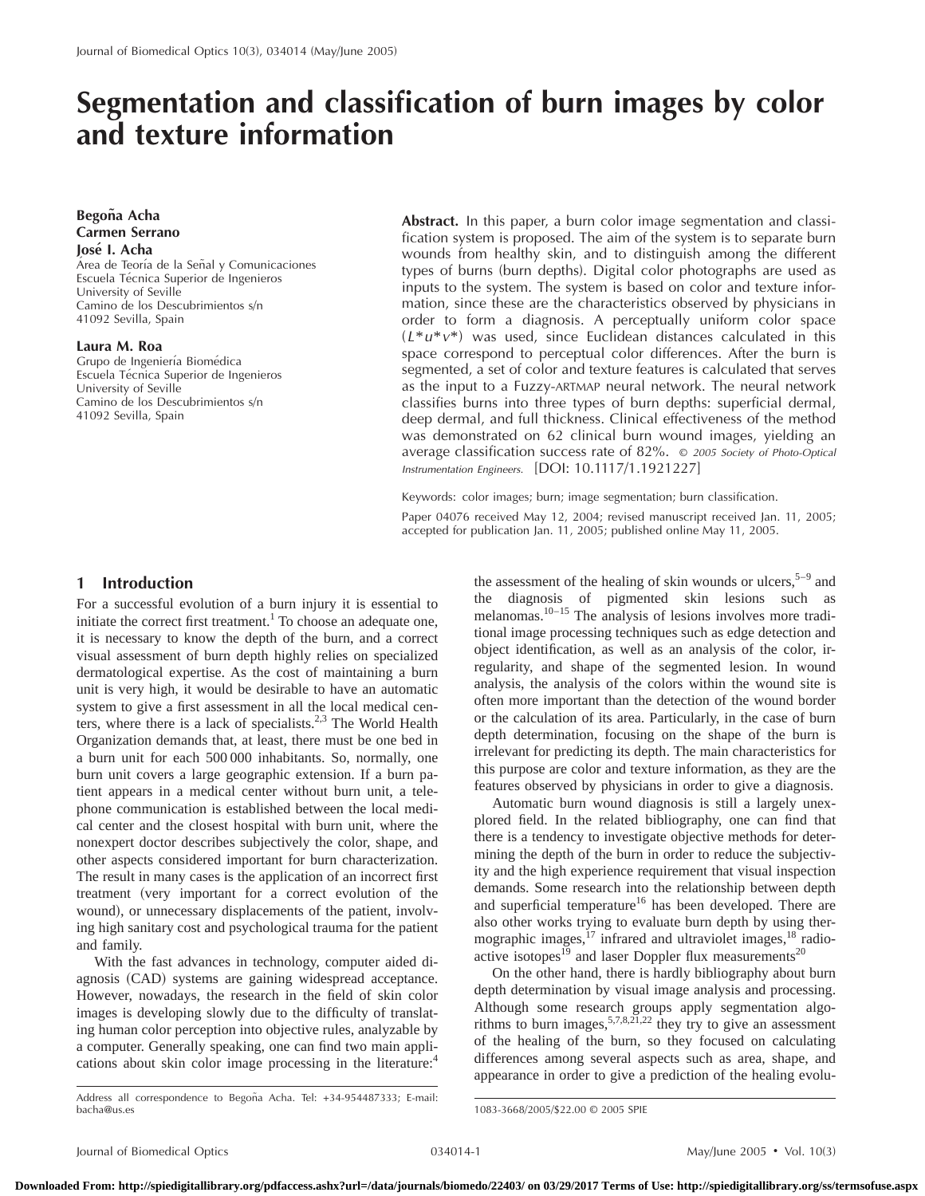# **Segmentation and classification of burn images by color and texture information**

# **Begon˜a Acha Carmen Serrano Jose´ I. Acha**

.<br>Área de Teoría de la Señal y Comunicaciones Escuela Técnica Superior de Ingenieros University of Seville Camino de los Descubrimientos s/n 41092 Sevilla, Spain

## **Laura M. Roa**

Grupo de Ingeniería Biomédica Escuela Técnica Superior de Ingenieros University of Seville Camino de los Descubrimientos s/n 41092 Sevilla, Spain

**Abstract.** In this paper, a burn color image segmentation and classification system is proposed. The aim of the system is to separate burn wounds from healthy skin, and to distinguish among the different types of burns (burn depths). Digital color photographs are used as inputs to the system. The system is based on color and texture information, since these are the characteristics observed by physicians in order to form a diagnosis. A perceptually uniform color space  $(L*u*v*)$  was used, since Euclidean distances calculated in this space correspond to perceptual color differences. After the burn is segmented, a set of color and texture features is calculated that serves as the input to a Fuzzy-ARTMAP neural network. The neural network classifies burns into three types of burn depths: superficial dermal, deep dermal, and full thickness. Clinical effectiveness of the method was demonstrated on 62 clinical burn wound images, yielding an average classification success rate of 82%. © <sup>2005</sup> Society of Photo-Optical Instrumentation Engineers. [DOI: 10.1117/1.1921227]

Keywords: color images; burn; image segmentation; burn classification.

Paper 04076 received May 12, 2004; revised manuscript received Jan. 11, 2005; accepted for publication Jan. 11, 2005; published online May 11, 2005.

# **1 Introduction**

For a successful evolution of a burn injury it is essential to initiate the correct first treatment.<sup>1</sup> To choose an adequate one, it is necessary to know the depth of the burn, and a correct visual assessment of burn depth highly relies on specialized dermatological expertise. As the cost of maintaining a burn unit is very high, it would be desirable to have an automatic system to give a first assessment in all the local medical centers, where there is a lack of specialists.2,3 The World Health Organization demands that, at least, there must be one bed in a burn unit for each 500 000 inhabitants. So, normally, one burn unit covers a large geographic extension. If a burn patient appears in a medical center without burn unit, a telephone communication is established between the local medical center and the closest hospital with burn unit, where the nonexpert doctor describes subjectively the color, shape, and other aspects considered important for burn characterization. The result in many cases is the application of an incorrect first treatment (very important for a correct evolution of the wound), or unnecessary displacements of the patient, involving high sanitary cost and psychological trauma for the patient and family.

With the fast advances in technology, computer aided diagnosis (CAD) systems are gaining widespread acceptance. However, nowadays, the research in the field of skin color images is developing slowly due to the difficulty of translating human color perception into objective rules, analyzable by a computer. Generally speaking, one can find two main applications about skin color image processing in the literature:<sup>4</sup> the assessment of the healing of skin wounds or ulcers,  $5-9$  and the diagnosis of pigmented skin lesions such as melanomas.<sup>10–15</sup> The analysis of lesions involves more traditional image processing techniques such as edge detection and object identification, as well as an analysis of the color, irregularity, and shape of the segmented lesion. In wound analysis, the analysis of the colors within the wound site is often more important than the detection of the wound border or the calculation of its area. Particularly, in the case of burn depth determination, focusing on the shape of the burn is irrelevant for predicting its depth. The main characteristics for this purpose are color and texture information, as they are the features observed by physicians in order to give a diagnosis.

Automatic burn wound diagnosis is still a largely unexplored field. In the related bibliography, one can find that there is a tendency to investigate objective methods for determining the depth of the burn in order to reduce the subjectivity and the high experience requirement that visual inspection demands. Some research into the relationship between depth and superficial temperature<sup>16</sup> has been developed. There are also other works trying to evaluate burn depth by using thermographic images,<sup>17</sup> infrared and ultraviolet images,<sup>18</sup> radioactive isotopes<sup>19</sup> and laser Doppler flux measurements<sup>20</sup>

On the other hand, there is hardly bibliography about burn depth determination by visual image analysis and processing. Although some research groups apply segmentation algorithms to burn images,  $5,7,8,21,22$  they try to give an assessment of the healing of the burn, so they focused on calculating differences among several aspects such as area, shape, and appearance in order to give a prediction of the healing evolu-

Address all correspondence to Begoña Acha. Tel: +34-954487333; E-mail:<br>bacha@uses

bacha@us.es 1083-3668/2005/\$22.00 © 2005 SPIE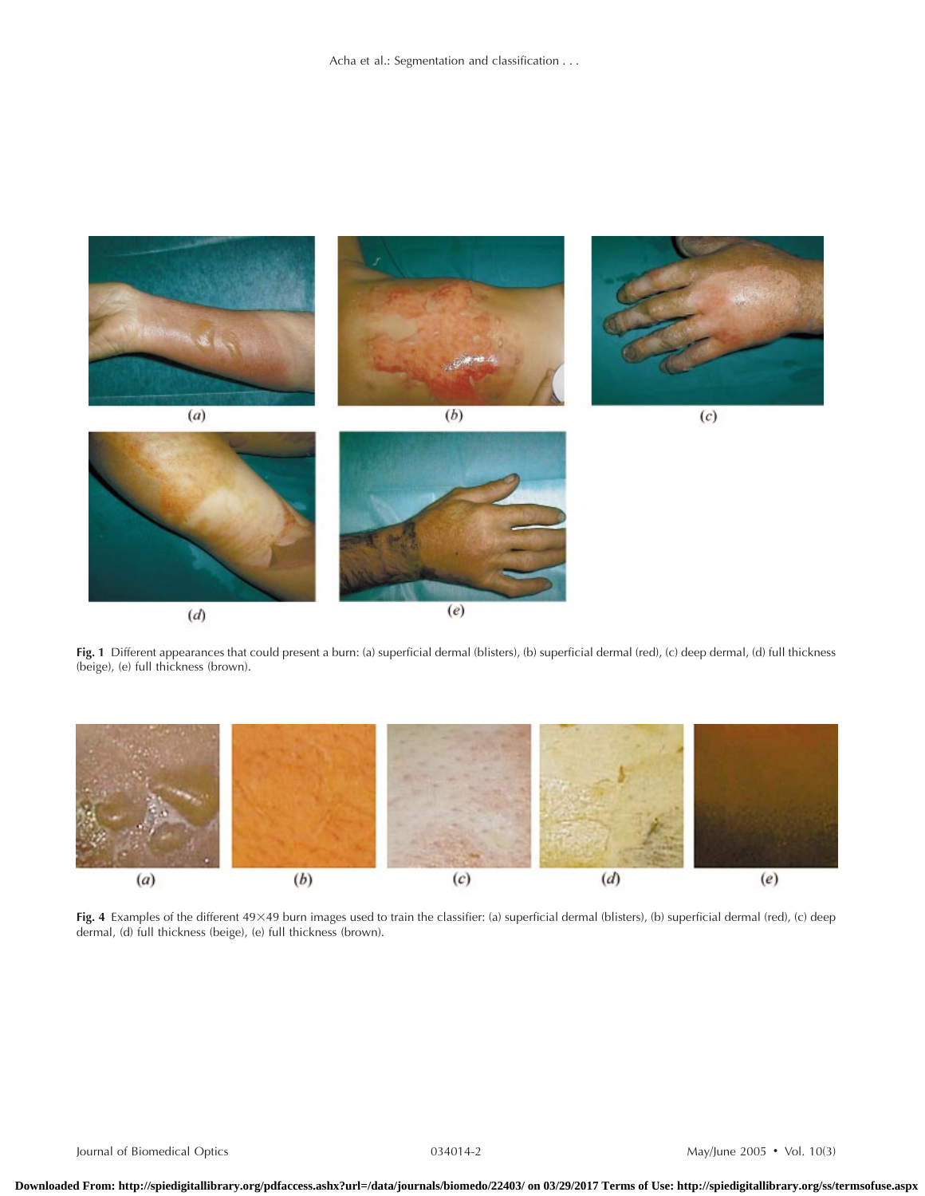

Fig. 1 Different appearances that could present a burn: (a) superficial dermal (blisters), (b) superficial dermal (red), (c) deep dermal, (d) full thickness (beige), (e) full thickness (brown).



**Fig. 4** Examples of the different 49×49 burn images used to train the classifier: (a) superficial dermal (blisters), (b) superficial dermal (red), (c) deep dermal, (d) full thickness (beige), (e) full thickness (brown).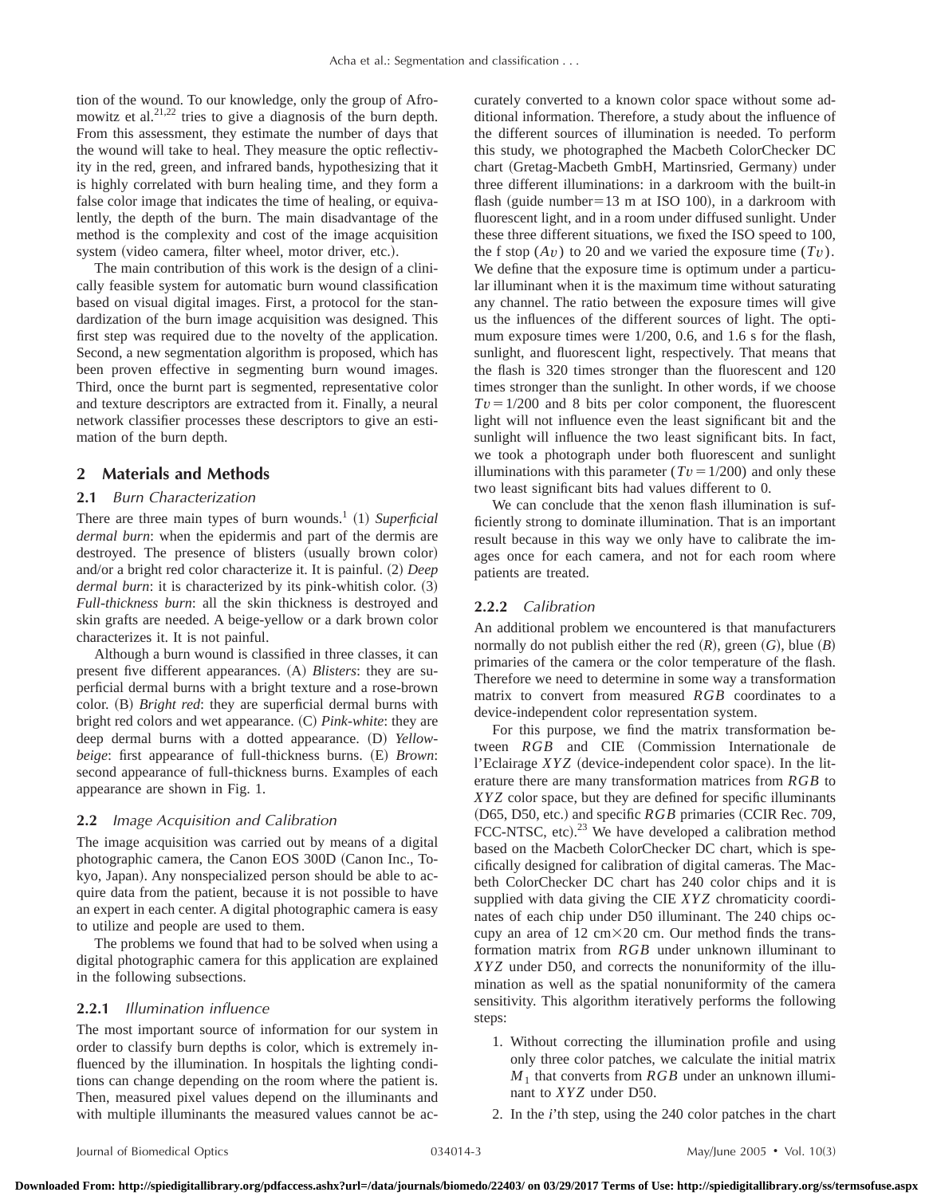tion of the wound. To our knowledge, only the group of Afromowitz et al.<sup>21,22</sup> tries to give a diagnosis of the burn depth. From this assessment, they estimate the number of days that the wound will take to heal. They measure the optic reflectivity in the red, green, and infrared bands, hypothesizing that it is highly correlated with burn healing time, and they form a false color image that indicates the time of healing, or equivalently, the depth of the burn. The main disadvantage of the method is the complexity and cost of the image acquisition system (video camera, filter wheel, motor driver, etc.).

The main contribution of this work is the design of a clinically feasible system for automatic burn wound classification based on visual digital images. First, a protocol for the standardization of the burn image acquisition was designed. This first step was required due to the novelty of the application. Second, a new segmentation algorithm is proposed, which has been proven effective in segmenting burn wound images. Third, once the burnt part is segmented, representative color and texture descriptors are extracted from it. Finally, a neural network classifier processes these descriptors to give an estimation of the burn depth.

# **2 Materials and Methods**

## **2.1** Burn Characterization

There are three main types of burn wounds.<sup>1</sup> (1) *Superficial dermal burn*: when the epidermis and part of the dermis are destroyed. The presence of blisters (usually brown color) and/or a bright red color characterize it. It is painful. (2) *Deep dermal burn*: it is characterized by its pink-whitish color. (3) *Full-thickness burn*: all the skin thickness is destroyed and skin grafts are needed. A beige-yellow or a dark brown color characterizes it. It is not painful.

Although a burn wound is classified in three classes, it can present five different appearances. (A) *Blisters*: they are superficial dermal burns with a bright texture and a rose-brown color. (B) *Bright red*: they are superficial dermal burns with bright red colors and wet appearance. (C) *Pink-white*: they are deep dermal burns with a dotted appearance. (D) *Yellowbeige*: first appearance of full-thickness burns. (E) *Brown*: second appearance of full-thickness burns. Examples of each appearance are shown in Fig. 1.

## **2.2** Image Acquisition and Calibration

The image acquisition was carried out by means of a digital photographic camera, the Canon EOS 300D (Canon Inc., Tokyo, Japan). Any nonspecialized person should be able to acquire data from the patient, because it is not possible to have an expert in each center. A digital photographic camera is easy to utilize and people are used to them.

The problems we found that had to be solved when using a digital photographic camera for this application are explained in the following subsections.

## **2.2.1** Illumination influence

The most important source of information for our system in order to classify burn depths is color, which is extremely influenced by the illumination. In hospitals the lighting conditions can change depending on the room where the patient is. Then, measured pixel values depend on the illuminants and with multiple illuminants the measured values cannot be accurately converted to a known color space without some additional information. Therefore, a study about the influence of the different sources of illumination is needed. To perform this study, we photographed the Macbeth ColorChecker DC chart (Gretag-Macbeth GmbH, Martinsried, Germany) under three different illuminations: in a darkroom with the built-in flash (guide number=13 m at ISO 100), in a darkroom with fluorescent light, and in a room under diffused sunlight. Under these three different situations, we fixed the ISO speed to 100, the f stop  $(Av)$  to 20 and we varied the exposure time  $(Tv)$ . We define that the exposure time is optimum under a particular illuminant when it is the maximum time without saturating any channel. The ratio between the exposure times will give us the influences of the different sources of light. The optimum exposure times were  $1/200$ , 0.6, and 1.6 s for the flash, sunlight, and fluorescent light, respectively. That means that the flash is 320 times stronger than the fluorescent and 120 times stronger than the sunlight. In other words, if we choose  $Tv = 1/200$  and 8 bits per color component, the fluorescent light will not influence even the least significant bit and the sunlight will influence the two least significant bits. In fact, we took a photograph under both fluorescent and sunlight illuminations with this parameter ( $Tv = 1/200$ ) and only these two least significant bits had values different to 0.

We can conclude that the xenon flash illumination is sufficiently strong to dominate illumination. That is an important result because in this way we only have to calibrate the images once for each camera, and not for each room where patients are treated.

## **2.2.2** Calibration

An additional problem we encountered is that manufacturers normally do not publish either the red  $(R)$ , green  $(G)$ , blue  $(B)$ primaries of the camera or the color temperature of the flash. Therefore we need to determine in some way a transformation matrix to convert from measured *RGB* coordinates to a device-independent color representation system.

For this purpose, we find the matrix transformation between *RGB* and CIE (Commission Internationale de l'Eclairage *XYZ* (device-independent color space). In the literature there are many transformation matrices from *RGB* to *XYZ* color space, but they are defined for specific illuminants (D65, D50, etc.) and specific *RGB* primaries (CCIR Rec. 709, FCC-NTSC, etc). $^{23}$  We have developed a calibration method based on the Macbeth ColorChecker DC chart, which is specifically designed for calibration of digital cameras. The Macbeth ColorChecker DC chart has 240 color chips and it is supplied with data giving the CIE *XYZ* chromaticity coordinates of each chip under D50 illuminant. The 240 chips occupy an area of 12 cm $\times$ 20 cm. Our method finds the transformation matrix from *RGB* under unknown illuminant to *XYZ* under D50, and corrects the nonuniformity of the illumination as well as the spatial nonuniformity of the camera sensitivity. This algorithm iteratively performs the following steps:

- 1. Without correcting the illumination profile and using only three color patches, we calculate the initial matrix *M*<sup>1</sup> that converts from *RGB* under an unknown illuminant to *XYZ* under D50.
- 2. In the *i*'th step, using the 240 color patches in the chart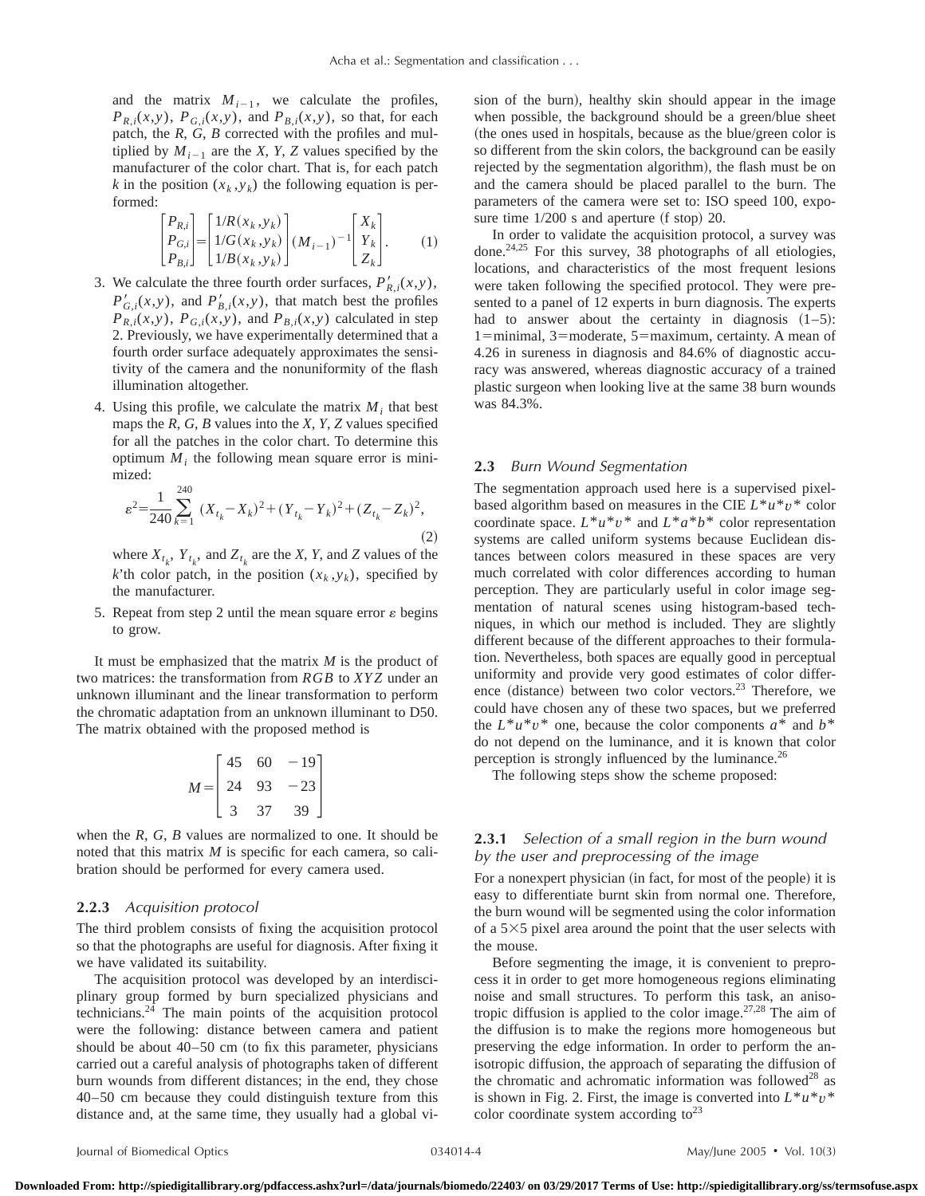and the matrix  $M_{i-1}$ , we calculate the profiles,  $P_{R,i}(x, y)$ ,  $P_{G,i}(x, y)$ , and  $P_{B,i}(x, y)$ , so that, for each patch, the *R*, *G*, *B* corrected with the profiles and multiplied by  $M_{i-1}$  are the *X*, *Y*, *Z* values specified by the manufacturer of the color chart. That is, for each patch *k* in the position  $(x_k, y_k)$  the following equation is performed:

$$
\begin{bmatrix} P_{R,i} \\ P_{G,i} \\ P_{B,i} \end{bmatrix} = \begin{bmatrix} 1/R(x_k, y_k) \\ 1/G(x_k, y_k) \\ 1/B(x_k, y_k) \end{bmatrix} (M_{i-1})^{-1} \begin{bmatrix} X_k \\ Y_k \\ Z_k \end{bmatrix}.
$$
 (1)

- 3. We calculate the three fourth order surfaces,  $P'_{R,i}(x,y)$ ,  $P'_{G,i}(x,y)$ , and  $P'_{B,i}(x,y)$ , that match best the profiles  $P_{R,i}(x,y)$ ,  $P_{G,i}(x,y)$ , and  $P_{B,i}(x,y)$  calculated in step 2. Previously, we have experimentally determined that a fourth order surface adequately approximates the sensitivity of the camera and the nonuniformity of the flash illumination altogether.
- 4. Using this profile, we calculate the matrix  $M_i$  that best maps the *R*, *G*, *B* values into the *X*, *Y*, *Z* values specified for all the patches in the color chart. To determine this optimum  $M_i$  the following mean square error is minimized:

$$
\varepsilon^{2} = \frac{1}{240} \sum_{k=1}^{240} (X_{t_{k}} - X_{k})^{2} + (Y_{t_{k}} - Y_{k})^{2} + (Z_{t_{k}} - Z_{k})^{2},
$$
\n(2)

where  $X_{t_k}$ ,  $Y_{t_k}$ , and  $Z_{t_k}$  are the *X*, *Y*, and *Z* values of the *k*'th color patch, in the position  $(x_k, y_k)$ , specified by the manufacturer.

5. Repeat from step 2 until the mean square error  $\varepsilon$  begins to grow.

It must be emphasized that the matrix *M* is the product of two matrices: the transformation from *RGB* to *XYZ* under an unknown illuminant and the linear transformation to perform the chromatic adaptation from an unknown illuminant to D50. The matrix obtained with the proposed method is

$$
M = \begin{bmatrix} 45 & 60 & -19 \\ 24 & 93 & -23 \\ 3 & 37 & 39 \end{bmatrix}
$$

when the  $R$ ,  $G$ ,  $B$  values are normalized to one. It should be noted that this matrix *M* is specific for each camera, so calibration should be performed for every camera used.

#### **2.2.3** Acquisition protocol

The third problem consists of fixing the acquisition protocol so that the photographs are useful for diagnosis. After fixing it we have validated its suitability.

The acquisition protocol was developed by an interdisciplinary group formed by burn specialized physicians and technicians.<sup>24</sup> The main points of the acquisition protocol were the following: distance between camera and patient should be about  $40-50$  cm (to fix this parameter, physicians carried out a careful analysis of photographs taken of different burn wounds from different distances; in the end, they chose 40–50 cm because they could distinguish texture from this distance and, at the same time, they usually had a global vision of the burn), healthy skin should appear in the image when possible, the background should be a green/blue sheet (the ones used in hospitals, because as the blue/green color is so different from the skin colors, the background can be easily rejected by the segmentation algorithm), the flash must be on and the camera should be placed parallel to the burn. The parameters of the camera were set to: ISO speed 100, exposure time  $1/200$  s and aperture  $(f stop)$  20.

In order to validate the acquisition protocol, a survey was done.<sup>24,25</sup> For this survey, 38 photographs of all etiologies, locations, and characteristics of the most frequent lesions were taken following the specified protocol. They were presented to a panel of 12 experts in burn diagnosis. The experts had to answer about the certainty in diagnosis  $(1-5)$ : 1=minimal, 3=moderate, 5=maximum, certainty. A mean of 4.26 in sureness in diagnosis and 84.6% of diagnostic accuracy was answered, whereas diagnostic accuracy of a trained plastic surgeon when looking live at the same 38 burn wounds was 84.3%.

## **2.3** Burn Wound Segmentation

The segmentation approach used here is a supervised pixelbased algorithm based on measures in the CIE  $L^*u^*v^*$  color coordinate space.  $L^*u^*v^*$  and  $L^*a^*b^*$  color representation systems are called uniform systems because Euclidean distances between colors measured in these spaces are very much correlated with color differences according to human perception. They are particularly useful in color image segmentation of natural scenes using histogram-based techniques, in which our method is included. They are slightly different because of the different approaches to their formulation. Nevertheless, both spaces are equally good in perceptual uniformity and provide very good estimates of color difference (distance) between two color vectors.<sup>23</sup> Therefore, we could have chosen any of these two spaces, but we preferred the  $L^*u^*v^*$  one, because the color components  $a^*$  and  $b^*$ do not depend on the luminance, and it is known that color perception is strongly influenced by the luminance.<sup>26</sup>

The following steps show the scheme proposed:

# **2.3.1** Selection of <sup>a</sup> small region in the burn wound by the user and preprocessing of the image

For a nonexpert physician (in fact, for most of the people) it is easy to differentiate burnt skin from normal one. Therefore, the burn wound will be segmented using the color information of a  $5\times5$  pixel area around the point that the user selects with the mouse.

Before segmenting the image, it is convenient to preprocess it in order to get more homogeneous regions eliminating noise and small structures. To perform this task, an anisotropic diffusion is applied to the color image.<sup>27,28</sup> The aim of the diffusion is to make the regions more homogeneous but preserving the edge information. In order to perform the anisotropic diffusion, the approach of separating the diffusion of the chromatic and achromatic information was followed<sup>28</sup> as is shown in Fig. 2. First, the image is converted into  $L^*u^*v^*$ color coordinate system according to<sup>23</sup>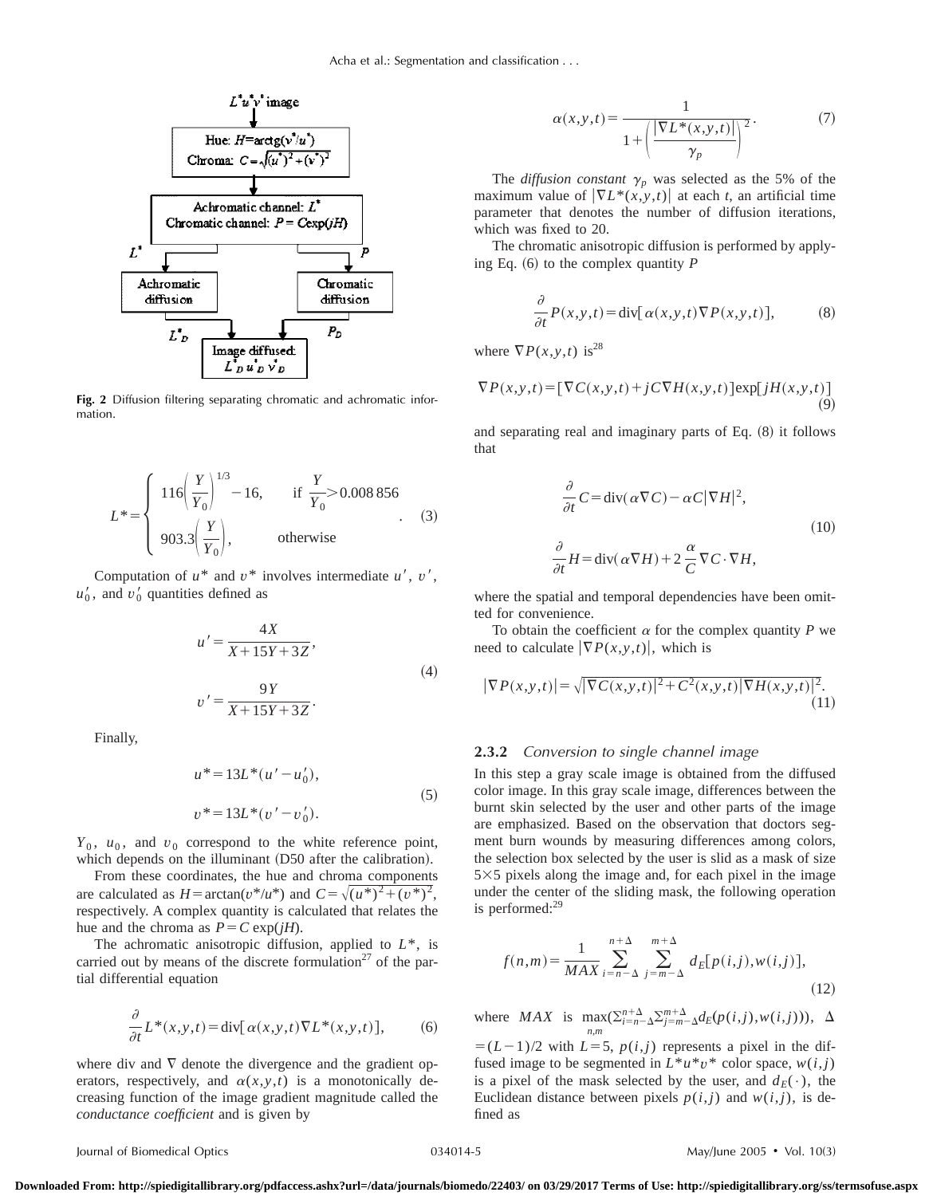

**Fig. 2** Diffusion filtering separating chromatic and achromatic information.

$$
L^* = \begin{cases} 116 \left( \frac{Y}{Y_0} \right)^{1/3} - 16, & \text{if } \frac{Y}{Y_0} > 0.008856\\ 903.3 \left( \frac{Y}{Y_0} \right), & \text{otherwise} \end{cases}
$$
 (3)

Computation of  $u^*$  and  $v^*$  involves intermediate  $u'$ ,  $v'$ ,  $u_0'$ , and  $v_0'$  quantities defined as

$$
u' = \frac{4X}{X + 15Y + 3Z},
$$
  
\n
$$
v' = \frac{9Y}{X + 15Y + 3Z}.
$$
\n(4)

Finally,

$$
u^* = 13L^*(u' - u'_0),
$$
  
\n
$$
v^* = 13L^*(v' - v'_0).
$$
\n(5)

 $Y_0$ ,  $u_0$ , and  $v_0$  correspond to the white reference point, which depends on the illuminant (D50 after the calibration).

From these coordinates, the hue and chroma components are calculated as  $H = \arctan(v^*/u^*)$  and  $C = \sqrt{(u^*)^2 + (v^*)^2}$ , respectively. A complex quantity is calculated that relates the hue and the chroma as  $P = C \exp(jH)$ .

The achromatic anisotropic diffusion, applied to *L*\*, is carried out by means of the discrete formulation<sup>27</sup> of the partial differential equation

$$
\frac{\partial}{\partial t} L^*(x, y, t) = \text{div}[\alpha(x, y, t) \nabla L^*(x, y, t)],\tag{6}
$$

where div and  $\nabla$  denote the divergence and the gradient operators, respectively, and  $\alpha(x, y, t)$  is a monotonically decreasing function of the image gradient magnitude called the *conductance coefficient* and is given by

$$
\alpha(x, y, t) = \frac{1}{1 + \left(\frac{|\nabla L^*(x, y, t)|}{\gamma_p}\right)^2}.
$$
\n(7)

The *diffusion constant*  $\gamma_p$  was selected as the 5% of the maximum value of  $|\nabla L^*(x,y,t)|$  at each *t*, an artificial time parameter that denotes the number of diffusion iterations, which was fixed to 20.

The chromatic anisotropic diffusion is performed by applying Eq.  $(6)$  to the complex quantity  $P$ 

$$
\frac{\partial}{\partial t}P(x,y,t) = \text{div}[\alpha(x,y,t)\nabla P(x,y,t)],\tag{8}
$$

where  $\nabla P(x, y, t)$  is<sup>28</sup>

$$
\nabla P(x, y, t) = [\nabla C(x, y, t) + jC\nabla H(x, y, t)] \exp[jH(x, y, t)]
$$
\n(9)

and separating real and imaginary parts of Eq.  $(8)$  it follows that

$$
\frac{\partial}{\partial t} C = \text{div}(\alpha \nabla C) - \alpha C |\nabla H|^2,
$$
\n
$$
\frac{\partial}{\partial t} H = \text{div}(\alpha \nabla H) + 2 \frac{\alpha}{C} \nabla C \cdot \nabla H,
$$
\n(10)

where the spatial and temporal dependencies have been omitted for convenience.

To obtain the coefficient  $\alpha$  for the complex quantity  $P$  we need to calculate  $|\nabla P(x,y,t)|$ , which is

$$
|\nabla P(x, y, t)| = \sqrt{|\nabla C(x, y, t)|^2 + C^2(x, y, t)|\nabla H(x, y, t)|^2}.
$$
\n(11)

#### **2.3.2** Conversion to single channel image

In this step a gray scale image is obtained from the diffused color image. In this gray scale image, differences between the burnt skin selected by the user and other parts of the image are emphasized. Based on the observation that doctors segment burn wounds by measuring differences among colors, the selection box selected by the user is slid as a mask of size  $5\times5$  pixels along the image and, for each pixel in the image under the center of the sliding mask, the following operation is performed:<sup>29</sup>

$$
f(n,m) = \frac{1}{MAX} \sum_{i=n-\Delta}^{n+\Delta} \sum_{j=m-\Delta}^{m+\Delta} d_E[p(i,j), w(i,j)],
$$
\n(12)

where  $MAX$  is  $max(\sum_{i=n-\Delta}^{n+\Delta} \sum_{j=m-\Delta}^{m+\Delta} d_E(p(i,j), w(i,j))), \Delta$ *n*,*m*

 $=(L-1)/2$  with  $L=5$ ,  $p(i,j)$  represents a pixel in the diffused image to be segmented in  $L^*u^*v^*$  color space,  $w(i,j)$ is a pixel of the mask selected by the user, and  $d_F(\cdot)$ , the Euclidean distance between pixels  $p(i, j)$  and  $w(i, j)$ , is defined as

Journal of Biomedical Optics **034014-5** May/June 2005 • Vol. 10(3)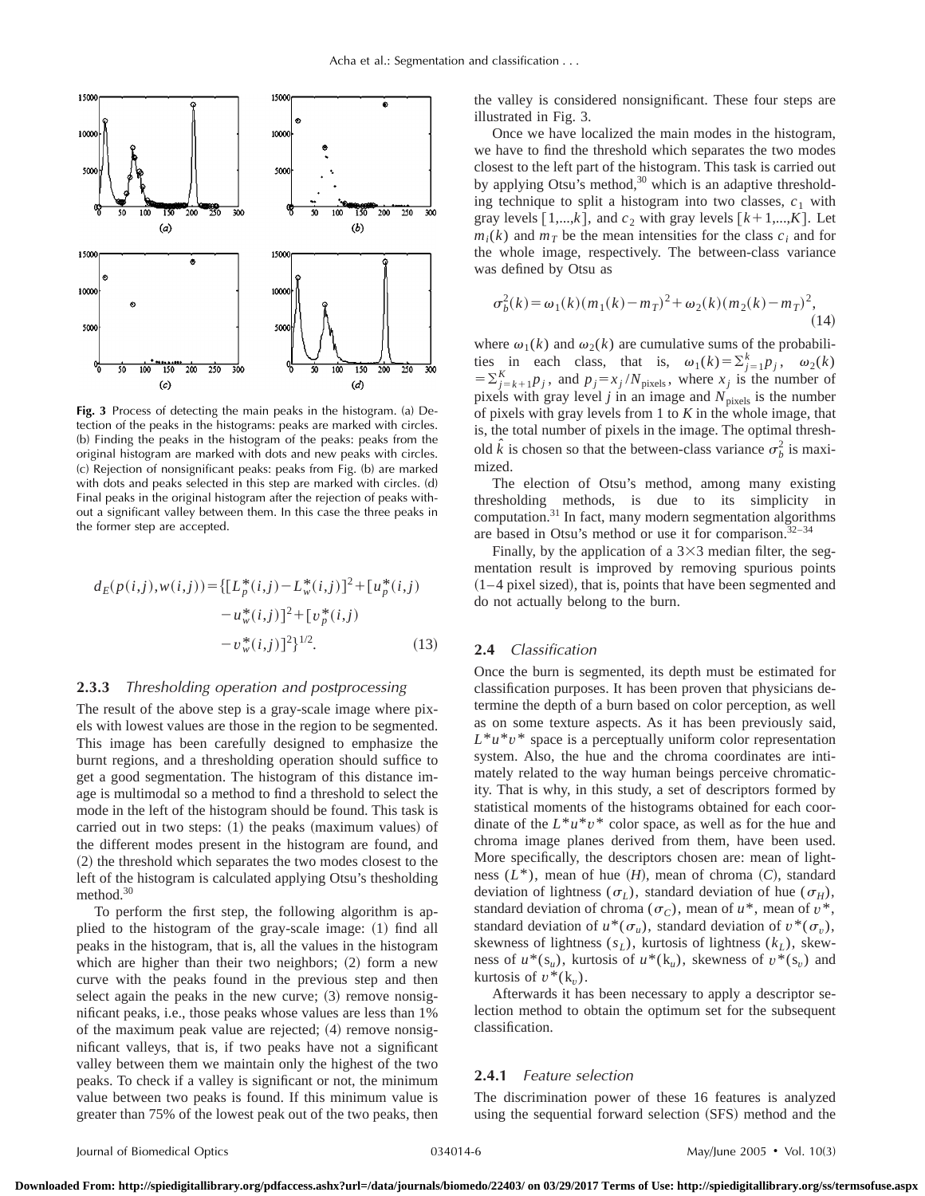

**Fig. 3** Process of detecting the main peaks in the histogram. (a) Detection of the peaks in the histograms: peaks are marked with circles. (b) Finding the peaks in the histogram of the peaks: peaks from the original histogram are marked with dots and new peaks with circles. (c) Rejection of nonsignificant peaks: peaks from Fig. (b) are marked with dots and peaks selected in this step are marked with circles. (d) Final peaks in the original histogram after the rejection of peaks without a significant valley between them. In this case the three peaks in the former step are accepted.

$$
d_E(p(i,j), w(i,j)) = \{ [L_p^*(i,j) - L_w^*(i,j)]^2 + [u_p^*(i,j) - u_w^*(i,j)]^2 + [v_p^*(i,j) - v_w^*(i,j)]^2 \}^{1/2}.
$$
\n(13)

## **2.3.3** Thresholding operation and postprocessing

The result of the above step is a gray-scale image where pixels with lowest values are those in the region to be segmented. This image has been carefully designed to emphasize the burnt regions, and a thresholding operation should suffice to get a good segmentation. The histogram of this distance image is multimodal so a method to find a threshold to select the mode in the left of the histogram should be found. This task is carried out in two steps:  $(1)$  the peaks (maximum values) of the different modes present in the histogram are found, and (2) the threshold which separates the two modes closest to the left of the histogram is calculated applying Otsu's thesholding method.<sup>30</sup>

To perform the first step, the following algorithm is applied to the histogram of the gray-scale image:  $(1)$  find all peaks in the histogram, that is, all the values in the histogram which are higher than their two neighbors;  $(2)$  form a new curve with the peaks found in the previous step and then select again the peaks in the new curve;  $(3)$  remove nonsignificant peaks, i.e., those peaks whose values are less than 1% of the maximum peak value are rejected;  $(4)$  remove nonsignificant valleys, that is, if two peaks have not a significant valley between them we maintain only the highest of the two peaks. To check if a valley is significant or not, the minimum value between two peaks is found. If this minimum value is greater than 75% of the lowest peak out of the two peaks, then the valley is considered nonsignificant. These four steps are illustrated in Fig. 3.

Once we have localized the main modes in the histogram, we have to find the threshold which separates the two modes closest to the left part of the histogram. This task is carried out by applying Otsu's method,  $30$  which is an adaptive thresholding technique to split a histogram into two classes,  $c_1$  with gray levels  $[1,...,k]$ , and  $c_2$  with gray levels  $[k+1,...,K]$ . Let  $m_i(k)$  and  $m_j$  be the mean intensities for the class  $c_i$  and for the whole image, respectively. The between-class variance was defined by Otsu as

$$
\sigma_b^2(k) = \omega_1(k)(m_1(k) - m_T)^2 + \omega_2(k)(m_2(k) - m_T)^2,
$$
\n(14)

where  $\omega_1(k)$  and  $\omega_2(k)$  are cumulative sums of the probabilities in each class, that is,  $\omega_1(k) = \sum_{j=1}^k p_j$ ,  $\omega_2(k)$  $=\sum_{j=k+1}^{K} p_j$ , and  $p_j = x_j/N$  pixels, where  $x_j$  is the number of pixels with gray level *j* in an image and  $N_{\text{pixels}}$  is the number of pixels with gray levels from 1 to *K* in the whole image, that is, the total number of pixels in the image. The optimal threshold  $\hat{k}$  is chosen so that the between-class variance  $\sigma_b^2$  is maximized.

The election of Otsu's method, among many existing thresholding methods, is due to its simplicity in computation.31 In fact, many modern segmentation algorithms are based in Otsu's method or use it for comparison.32–34

Finally, by the application of a  $3\times3$  median filter, the segmentation result is improved by removing spurious points  $(1-4$  pixel sized), that is, points that have been segmented and do not actually belong to the burn.

#### **2.4** Classification

Once the burn is segmented, its depth must be estimated for classification purposes. It has been proven that physicians determine the depth of a burn based on color perception, as well as on some texture aspects. As it has been previously said,  $L^*u^*v^*$  space is a perceptually uniform color representation system. Also, the hue and the chroma coordinates are intimately related to the way human beings perceive chromaticity. That is why, in this study, a set of descriptors formed by statistical moments of the histograms obtained for each coordinate of the  $L^*u^*v^*$  color space, as well as for the hue and chroma image planes derived from them, have been used. More specifically, the descriptors chosen are: mean of lightness  $(L^*)$ , mean of hue  $(H)$ , mean of chroma  $(C)$ , standard deviation of lightness  $(\sigma_L)$ , standard deviation of hue  $(\sigma_H)$ , standard deviation of chroma ( $\sigma_C$ ), mean of  $u^*$ , mean of  $v^*$ , standard deviation of  $u^*(\sigma_u)$ , standard deviation of  $v^*(\sigma_v)$ , skewness of lightness  $(s_L)$ , kurtosis of lightness  $(k_L)$ , skewness of  $u^*(s_u)$ , kurtosis of  $u^*(k_u)$ , skewness of  $v^*(s_v)$  and kurtosis of  $v^*(k_0)$ .

Afterwards it has been necessary to apply a descriptor selection method to obtain the optimum set for the subsequent classification.

#### **2.4.1** Feature selection

The discrimination power of these 16 features is analyzed using the sequential forward selection (SFS) method and the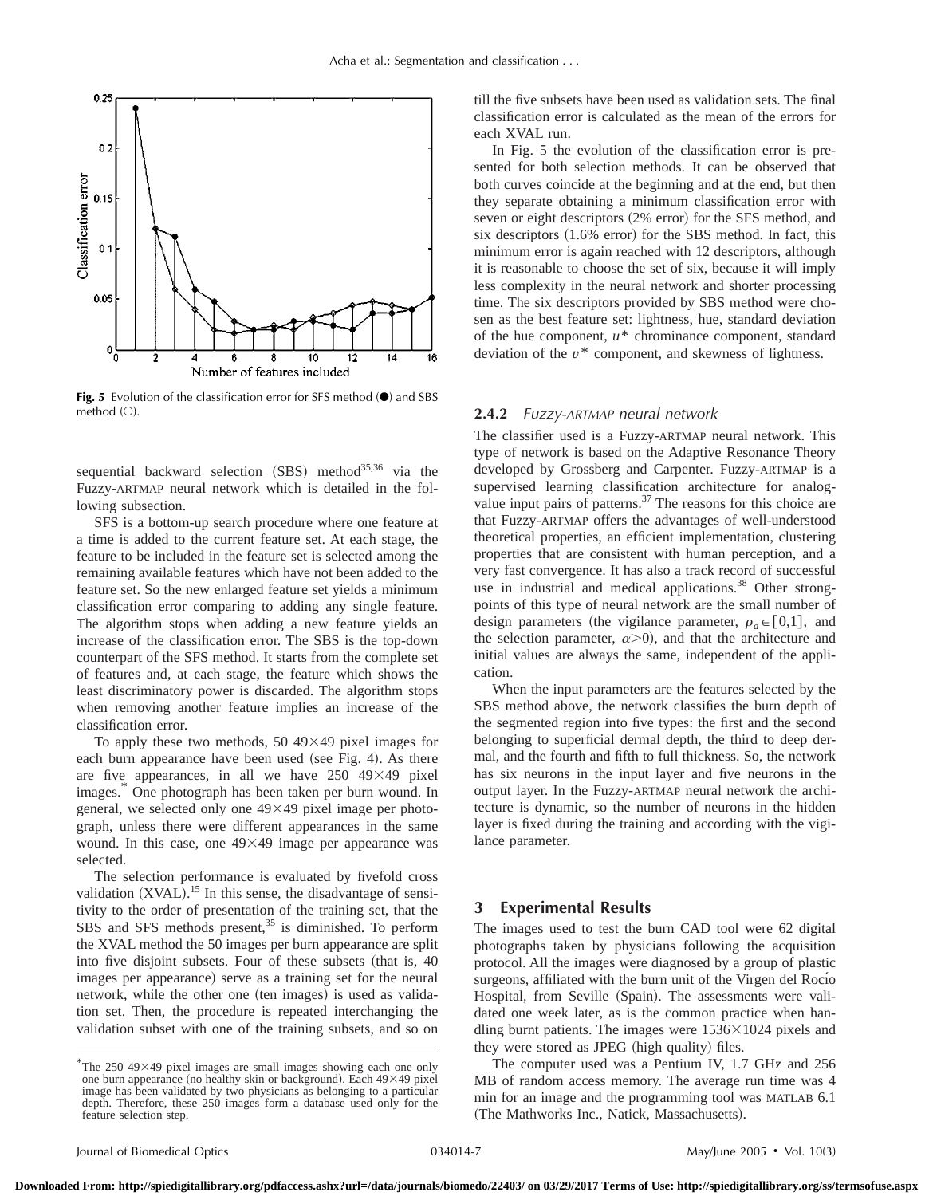

Fig. 5 Evolution of the classification error for SFS method ( $\bullet$ ) and SBS method  $( \bigcap$ 

sequential backward selection  $(SBS)$  method<sup>35,36</sup> via the Fuzzy-ARTMAP neural network which is detailed in the following subsection.

SFS is a bottom-up search procedure where one feature at a time is added to the current feature set. At each stage, the feature to be included in the feature set is selected among the remaining available features which have not been added to the feature set. So the new enlarged feature set yields a minimum classification error comparing to adding any single feature. The algorithm stops when adding a new feature yields an increase of the classification error. The SBS is the top-down counterpart of the SFS method. It starts from the complete set of features and, at each stage, the feature which shows the least discriminatory power is discarded. The algorithm stops when removing another feature implies an increase of the classification error.

To apply these two methods,  $50\,49\times49$  pixel images for each burn appearance have been used (see Fig. 4). As there are five appearances, in all we have  $250$  49 $\times$ 49 pixel images.\* One photograph has been taken per burn wound. In general, we selected only one  $49\times49$  pixel image per photograph, unless there were different appearances in the same wound. In this case, one  $49\times49$  image per appearance was selected.

The selection performance is evaluated by fivefold cross validation  $(XVAL)$ .<sup>15</sup> In this sense, the disadvantage of sensitivity to the order of presentation of the training set, that the SBS and SFS methods present, $35$  is diminished. To perform the XVAL method the 50 images per burn appearance are split into five disjoint subsets. Four of these subsets (that is,  $40$ images per appearance) serve as a training set for the neural network, while the other one (ten images) is used as validation set. Then, the procedure is repeated interchanging the validation subset with one of the training subsets, and so on

till the five subsets have been used as validation sets. The final classification error is calculated as the mean of the errors for each XVAL run.

In Fig. 5 the evolution of the classification error is presented for both selection methods. It can be observed that both curves coincide at the beginning and at the end, but then they separate obtaining a minimum classification error with seven or eight descriptors  $(2%$  error) for the SFS method, and six descriptors  $(1.6\%$  error) for the SBS method. In fact, this minimum error is again reached with 12 descriptors, although it is reasonable to choose the set of six, because it will imply less complexity in the neural network and shorter processing time. The six descriptors provided by SBS method were chosen as the best feature set: lightness, hue, standard deviation of the hue component, *u*\* chrominance component, standard deviation of the *v*\* component, and skewness of lightness.

#### **2.4.2** Fuzzy-ARTMAP neural network

The classifier used is a Fuzzy-ARTMAP neural network. This type of network is based on the Adaptive Resonance Theory developed by Grossberg and Carpenter. Fuzzy-ARTMAP is a supervised learning classification architecture for analogvalue input pairs of patterns.<sup>37</sup> The reasons for this choice are that Fuzzy-ARTMAP offers the advantages of well-understood theoretical properties, an efficient implementation, clustering properties that are consistent with human perception, and a very fast convergence. It has also a track record of successful use in industrial and medical applications.<sup>38</sup> Other strongpoints of this type of neural network are the small number of design parameters (the vigilance parameter,  $\rho_a \in [0,1]$ , and the selection parameter,  $\alpha$  >0), and that the architecture and initial values are always the same, independent of the application.

When the input parameters are the features selected by the SBS method above, the network classifies the burn depth of the segmented region into five types: the first and the second belonging to superficial dermal depth, the third to deep dermal, and the fourth and fifth to full thickness. So, the network has six neurons in the input layer and five neurons in the output layer. In the Fuzzy-ARTMAP neural network the architecture is dynamic, so the number of neurons in the hidden layer is fixed during the training and according with the vigilance parameter.

# **3 Experimental Results**

The images used to test the burn CAD tool were 62 digital photographs taken by physicians following the acquisition protocol. All the images were diagnosed by a group of plastic surgeons, affiliated with the burn unit of the Virgen del Rocio Hospital, from Seville (Spain). The assessments were validated one week later, as is the common practice when handling burnt patients. The images were  $1536\times1024$  pixels and they were stored as JPEG (high quality) files.

The computer used was a Pentium IV, 1.7 GHz and 256 MB of random access memory. The average run time was 4 min for an image and the programming tool was MATLAB 6.1 (The Mathworks Inc., Natick, Massachusetts).

 $*$ The 250 49 $\times$ 49 pixel images are small images showing each one only one burn appearance (no healthy skin or background). Each  $49\times49$  pixel image has been validated by two physicians as belonging to a particular depth. Therefore, these 250 images form a database used only for the feature selection step.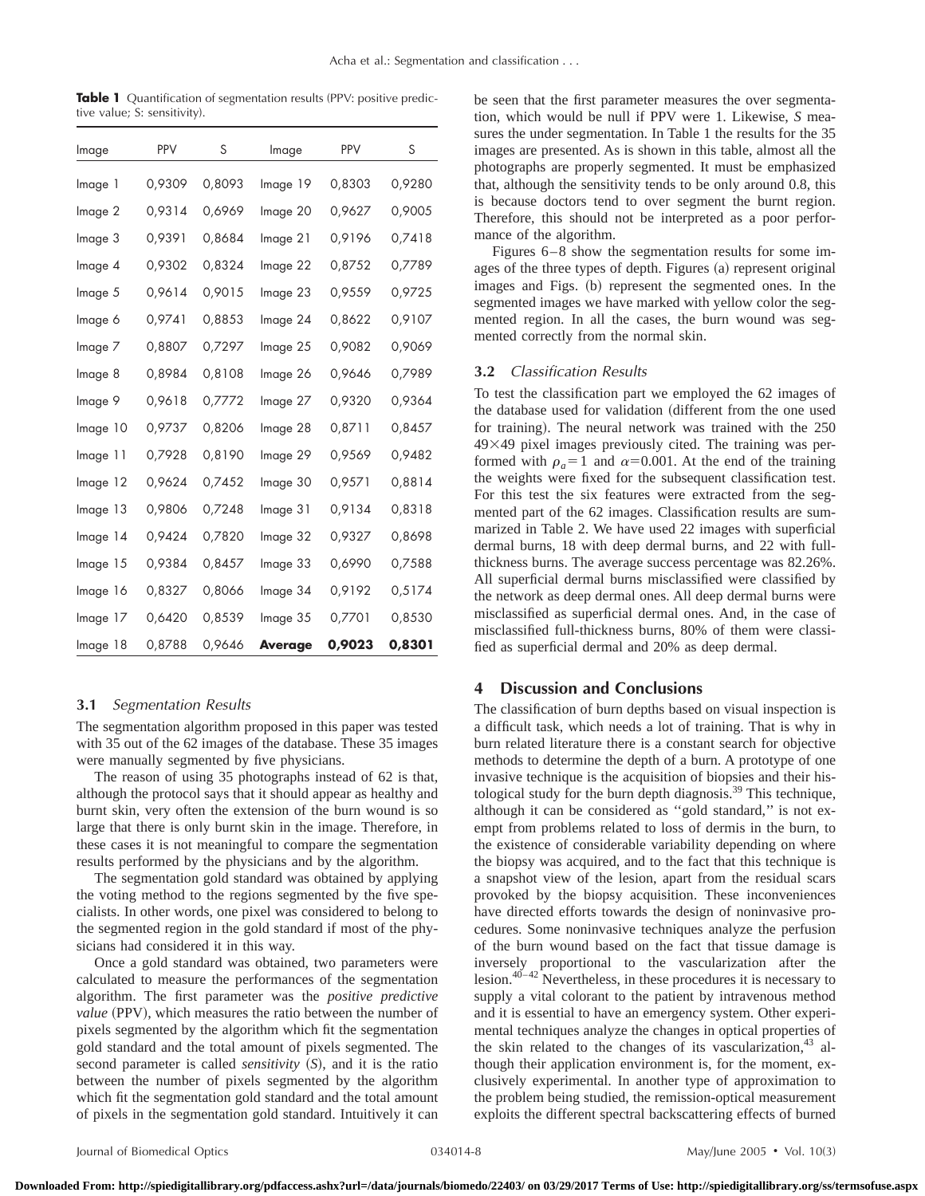**Table 1** Quantification of segmentation results (PPV: positive predictive value; S: sensitivity).

| Image    | PPV    | S      | Image    | <b>PPV</b> | S      |
|----------|--------|--------|----------|------------|--------|
| Image 1  | 0,9309 | 0,8093 | lmage 19 | 0,8303     | 0,9280 |
| Image 2  | 0,9314 | 0,6969 | lmage 20 | 0,9627     | 0,9005 |
| Image 3  | 0,9391 | 0,8684 | lmage 21 | 0,9196     | 0,7418 |
| Image 4  | 0,9302 | 0,8324 | lmage 22 | 0,8752     | 0,7789 |
| Image 5  | 0,9614 | 0,9015 | lmage 23 | 0,9559     | 0,9725 |
| lmage 6  | 0,9741 | 0,8853 | lmage 24 | 0,8622     | 0,9107 |
| Image 7  | 0,8807 | 0,7297 | Image 25 | 0,9082     | 0,9069 |
| lmage 8  | 0,8984 | 0,8108 | lmage 26 | 0,9646     | 0,7989 |
| Image 9  | 0,9618 | 0,7772 | lmage 27 | 0,9320     | 0,9364 |
| Image 10 | 0,9737 | 0,8206 | lmage 28 | 0,8711     | 0,8457 |
| Image 11 | 0,7928 | 0,8190 | lmage 29 | 0,9569     | 0,9482 |
| Image 12 | 0,9624 | 0,7452 | lmage 30 | 0,9571     | 0,8814 |
| Image 13 | 0,9806 | 0,7248 | lmage 31 | 0,9134     | 0,8318 |
| Image 14 | 0,9424 | 0,7820 | lmage 32 | 0,9327     | 0,8698 |
| Image 15 | 0,9384 | 0,8457 | lmage 33 | 0,6990     | 0,7588 |
| Image 16 | 0,8327 | 0,8066 | lmage 34 | 0,9192     | 0,5174 |
| Image 17 | 0,6420 | 0,8539 | lmage 35 | 0,7701     | 0,8530 |
| lmage 18 | 0,8788 | 0,9646 | Average  | 0,9023     | 0,8301 |

## **3.1** Segmentation Results

The segmentation algorithm proposed in this paper was tested with 35 out of the 62 images of the database. These 35 images were manually segmented by five physicians.

The reason of using 35 photographs instead of 62 is that, although the protocol says that it should appear as healthy and burnt skin, very often the extension of the burn wound is so large that there is only burnt skin in the image. Therefore, in these cases it is not meaningful to compare the segmentation results performed by the physicians and by the algorithm.

The segmentation gold standard was obtained by applying the voting method to the regions segmented by the five specialists. In other words, one pixel was considered to belong to the segmented region in the gold standard if most of the physicians had considered it in this way.

Once a gold standard was obtained, two parameters were calculated to measure the performances of the segmentation algorithm. The first parameter was the *positive predictive value* (PPV), which measures the ratio between the number of pixels segmented by the algorithm which fit the segmentation gold standard and the total amount of pixels segmented. The second parameter is called *sensitivity* (S), and it is the ratio between the number of pixels segmented by the algorithm which fit the segmentation gold standard and the total amount of pixels in the segmentation gold standard. Intuitively it can be seen that the first parameter measures the over segmentation, which would be null if PPV were 1. Likewise, *S* measures the under segmentation. In Table 1 the results for the 35 images are presented. As is shown in this table, almost all the photographs are properly segmented. It must be emphasized that, although the sensitivity tends to be only around 0.8, this is because doctors tend to over segment the burnt region. Therefore, this should not be interpreted as a poor performance of the algorithm.

Figures 6–8 show the segmentation results for some images of the three types of depth. Figures (a) represent original images and Figs. (b) represent the segmented ones. In the segmented images we have marked with yellow color the segmented region. In all the cases, the burn wound was segmented correctly from the normal skin.

# **3.2** Classification Results

To test the classification part we employed the 62 images of the database used for validation (different from the one used for training). The neural network was trained with the 250  $49\times49$  pixel images previously cited. The training was performed with  $\rho_a=1$  and  $\alpha=0.001$ . At the end of the training the weights were fixed for the subsequent classification test. For this test the six features were extracted from the segmented part of the 62 images. Classification results are summarized in Table 2. We have used 22 images with superficial dermal burns, 18 with deep dermal burns, and 22 with fullthickness burns. The average success percentage was 82.26%. All superficial dermal burns misclassified were classified by the network as deep dermal ones. All deep dermal burns were misclassified as superficial dermal ones. And, in the case of misclassified full-thickness burns, 80% of them were classified as superficial dermal and 20% as deep dermal.

# **4 Discussion and Conclusions**

The classification of burn depths based on visual inspection is a difficult task, which needs a lot of training. That is why in burn related literature there is a constant search for objective methods to determine the depth of a burn. A prototype of one invasive technique is the acquisition of biopsies and their histological study for the burn depth diagnosis.<sup>39</sup> This technique, although it can be considered as "gold standard," is not exempt from problems related to loss of dermis in the burn, to the existence of considerable variability depending on where the biopsy was acquired, and to the fact that this technique is a snapshot view of the lesion, apart from the residual scars provoked by the biopsy acquisition. These inconveniences have directed efforts towards the design of noninvasive procedures. Some noninvasive techniques analyze the perfusion of the burn wound based on the fact that tissue damage is inversely proportional to the vascularization after the lesion. $40-42$  Nevertheless, in these procedures it is necessary to supply a vital colorant to the patient by intravenous method and it is essential to have an emergency system. Other experimental techniques analyze the changes in optical properties of the skin related to the changes of its vascularization,<sup>43</sup> although their application environment is, for the moment, exclusively experimental. In another type of approximation to the problem being studied, the remission-optical measurement exploits the different spectral backscattering effects of burned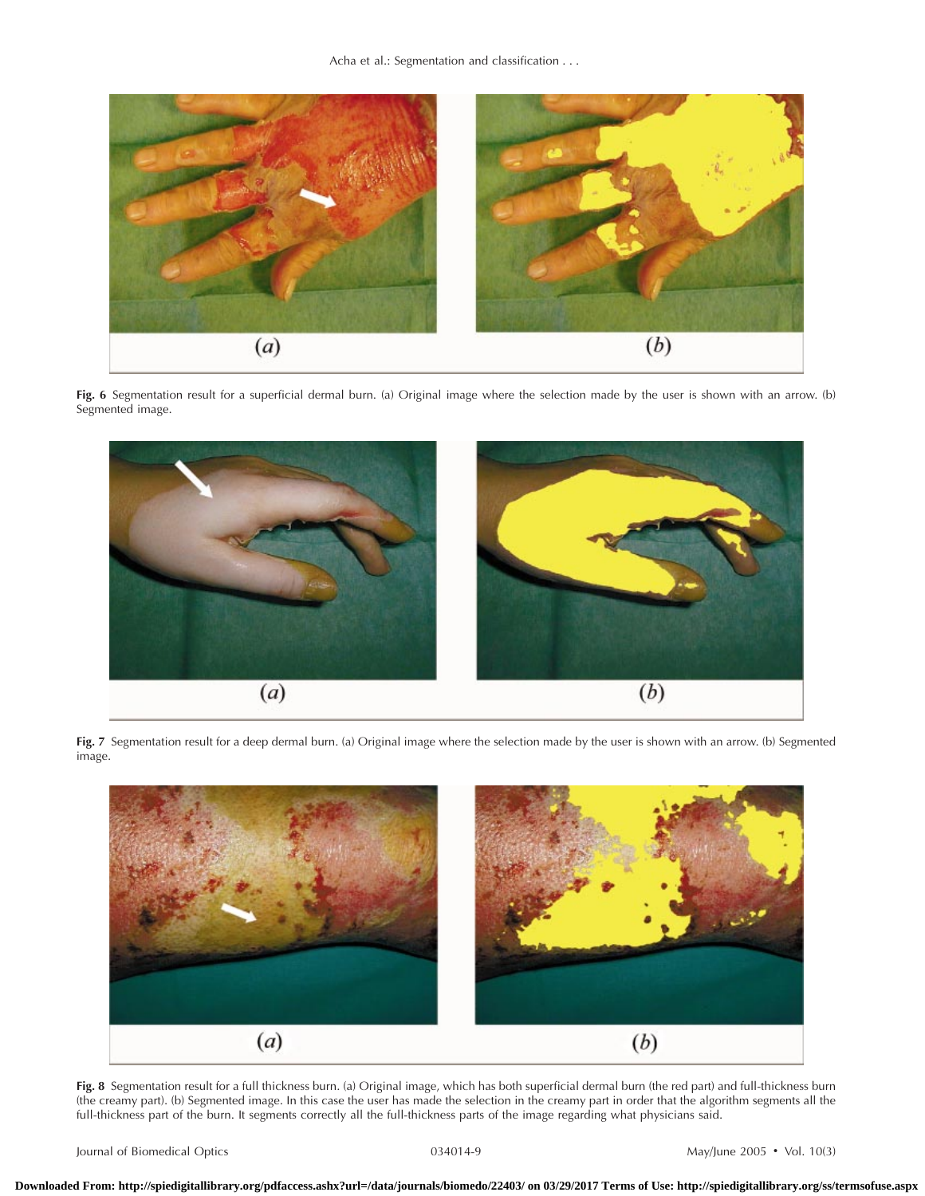

**Fig. 6** Segmentation result for a superficial dermal burn. (a) Original image where the selection made by the user is shown with an arrow. (b) Segmented image.



**Fig. 7** Segmentation result for a deep dermal burn. (a) Original image where the selection made by the user is shown with an arrow. (b) Segmented image.



**Fig. 8** Segmentation result for a full thickness burn. (a) Original image, which has both superficial dermal burn (the red part) and full-thickness burn (the creamy part). (b) Segmented image. In this case the user has made the selection in the creamy part in order that the algorithm segments all the full-thickness part of the burn. It segments correctly all the full-thickness parts of the image regarding what physicians said.

Journal of Biomedical Optics **034014-9** 034014-9 May/June 2005 • Vol. 10(3)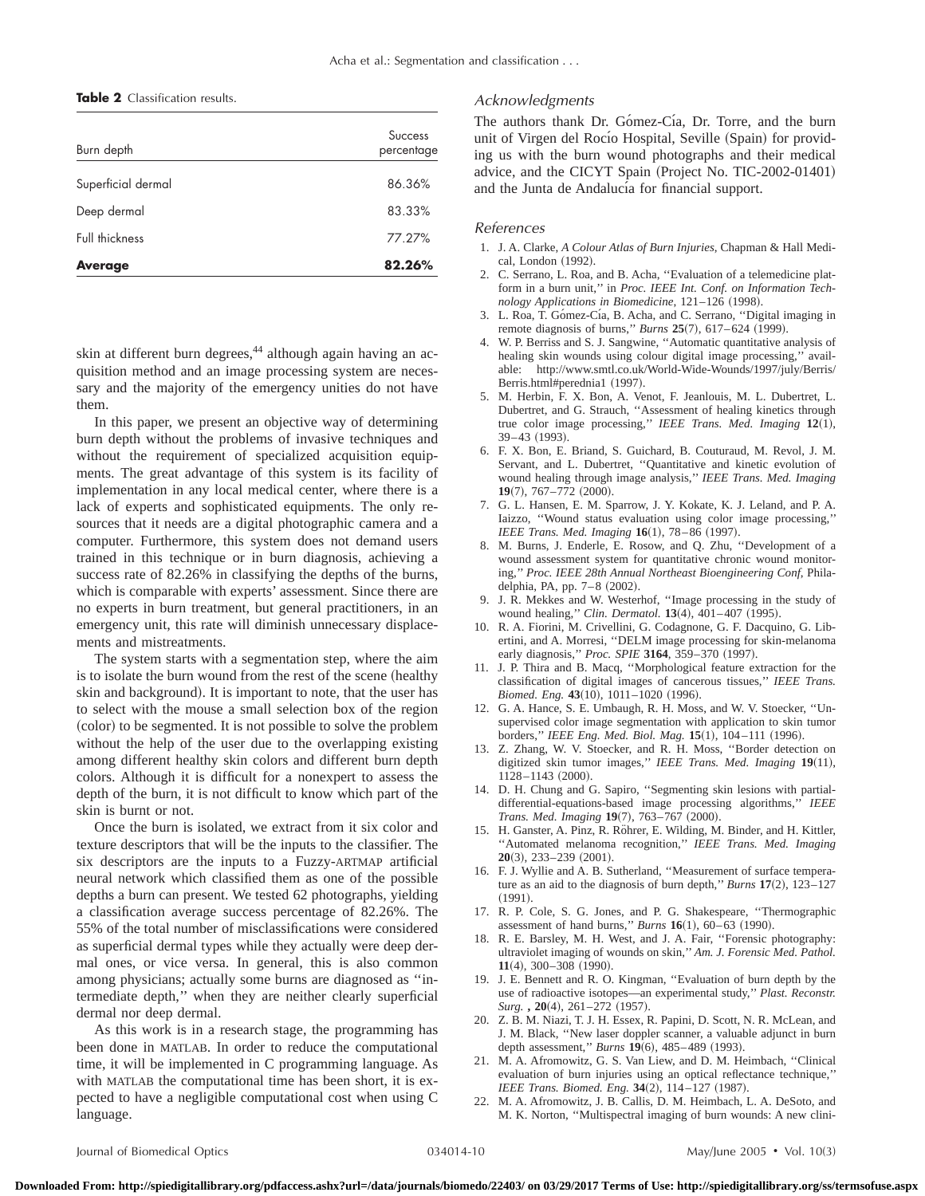**Table 2** Classification results.

| Burn depth         | <b>Success</b><br>percentage |
|--------------------|------------------------------|
| Superficial dermal | 86.36%                       |
| Deep dermal        | 83.33%                       |
| Full thickness     | 77.27%                       |
| <b>Average</b>     | 82.26%                       |

skin at different burn degrees,<sup>44</sup> although again having an acquisition method and an image processing system are necessary and the majority of the emergency unities do not have them.

In this paper, we present an objective way of determining burn depth without the problems of invasive techniques and without the requirement of specialized acquisition equipments. The great advantage of this system is its facility of implementation in any local medical center, where there is a lack of experts and sophisticated equipments. The only resources that it needs are a digital photographic camera and a computer. Furthermore, this system does not demand users trained in this technique or in burn diagnosis, achieving a success rate of 82.26% in classifying the depths of the burns, which is comparable with experts' assessment. Since there are no experts in burn treatment, but general practitioners, in an emergency unit, this rate will diminish unnecessary displacements and mistreatments.

The system starts with a segmentation step, where the aim is to isolate the burn wound from the rest of the scene (healthy skin and background). It is important to note, that the user has to select with the mouse a small selection box of the region (color) to be segmented. It is not possible to solve the problem without the help of the user due to the overlapping existing among different healthy skin colors and different burn depth colors. Although it is difficult for a nonexpert to assess the depth of the burn, it is not difficult to know which part of the skin is burnt or not.

Once the burn is isolated, we extract from it six color and texture descriptors that will be the inputs to the classifier. The six descriptors are the inputs to a Fuzzy-ARTMAP artificial neural network which classified them as one of the possible depths a burn can present. We tested 62 photographs, yielding a classification average success percentage of 82.26%. The 55% of the total number of misclassifications were considered as superficial dermal types while they actually were deep dermal ones, or vice versa. In general, this is also common among physicians; actually some burns are diagnosed as ''intermediate depth,'' when they are neither clearly superficial dermal nor deep dermal.

As this work is in a research stage, the programming has been done in MATLAB. In order to reduce the computational time, it will be implemented in C programming language. As with MATLAB the computational time has been short, it is expected to have a negligible computational cost when using C language.

## Acknowledgments

The authors thank Dr. Gómez-Cía, Dr. Torre, and the burn unit of Virgen del Rocío Hospital, Seville (Spain) for providing us with the burn wound photographs and their medical advice, and the CICYT Spain (Project No. TIC-2002-01401) and the Junta de Andalucía for financial support.

## References

- 1. J. A. Clarke, *A Colour Atlas of Burn Injuries*, Chapman & Hall Medical, London  $(1992)$ .
- 2. C. Serrano, L. Roa, and B. Acha, ''Evaluation of a telemedicine platform in a burn unit,'' in *Proc. IEEE Int. Conf. on Information Technology Applications in Biomedicine*, 121-126 (1998).
- 3. L. Roa, T. Gómez-Cía, B. Acha, and C. Serrano, "Digital imaging in remote diagnosis of burns," *Burns* 25(7), 617–624 (1999).
- 4. W. P. Berriss and S. J. Sangwine, ''Automatic quantitative analysis of healing skin wounds using colour digital image processing,'' available: http://www.smtl.co.uk/World-Wide-Wounds/1997/july/Berris/ Berris.html#perednia1 (1997).
- 5. M. Herbin, F. X. Bon, A. Venot, F. Jeanlouis, M. L. Dubertret, L. Dubertret, and G. Strauch, ''Assessment of healing kinetics through true color image processing," IEEE Trans. Med. Imaging 12(1), 39-43 (1993).
- 6. F. X. Bon, E. Briand, S. Guichard, B. Couturaud, M. Revol, J. M. Servant, and L. Dubertret, ''Quantitative and kinetic evolution of wound healing through image analysis,'' *IEEE Trans. Med. Imaging* **19**(7), 767–772 (2000).
- 7. G. L. Hansen, E. M. Sparrow, J. Y. Kokate, K. J. Leland, and P. A. Iaizzo, ''Wound status evaluation using color image processing,'' *IEEE Trans. Med. Imaging* **16**(1), 78-86 (1997).
- 8. M. Burns, J. Enderle, E. Rosow, and Q. Zhu, ''Development of a wound assessment system for quantitative chronic wound monitoring,'' *Proc. IEEE 28th Annual Northeast Bioengineering Conf*, Philadelphia, PA, pp. 7-8 (2002).
- 9. J. R. Mekkes and W. Westerhof, ''Image processing in the study of wound healing," *Clin. Dermatol.* **13**(4), 401-407 (1995).
- 10. R. A. Fiorini, M. Crivellini, G. Codagnone, G. F. Dacquino, G. Libertini, and A. Morresi, ''DELM image processing for skin-melanoma early diagnosis," Proc. SPIE 3164, 359-370 (1997).
- 11. J. P. Thira and B. Macq, ''Morphological feature extraction for the classification of digital images of cancerous tissues,'' *IEEE Trans. Biomed. Eng.* 43(10), 1011–1020 (1996).
- 12. G. A. Hance, S. E. Umbaugh, R. H. Moss, and W. V. Stoecker, ''Unsupervised color image segmentation with application to skin tumor borders," IEEE Eng. Med. Biol. Mag. 15(1), 104-111 (1996).
- 13. Z. Zhang, W. V. Stoecker, and R. H. Moss, ''Border detection on digitized skin tumor images," IEEE Trans. Med. Imaging 19(11), 1128-1143 (2000).
- 14. D. H. Chung and G. Sapiro, ''Segmenting skin lesions with partialdifferential-equations-based image processing algorithms,'' *IEEE Trans. Med. Imaging* 19(7), 763–767 (2000).
- 15. H. Ganster, A. Pinz, R. Röhrer, E. Wilding, M. Binder, and H. Kittler, ''Automated melanoma recognition,'' *IEEE Trans. Med. Imaging* **20**(3), 233–239 (2001).
- 16. F. J. Wyllie and A. B. Sutherland, ''Measurement of surface temperature as an aid to the diagnosis of burn depth," *Burns*  $17(2)$ ,  $123-127$  $(1991).$
- 17. R. P. Cole, S. G. Jones, and P. G. Shakespeare, ''Thermographic assessment of hand burns," *Burns* **16**(1), 60–63 (1990).
- 18. R. E. Barsley, M. H. West, and J. A. Fair, ''Forensic photography: ultraviolet imaging of wounds on skin,'' *Am. J. Forensic Med. Pathol.* **11**(4), 300–308 (1990).
- 19. J. E. Bennett and R. O. Kingman, ''Evaluation of burn depth by the use of radioactive isotopes—an experimental study,'' *Plast. Reconstr. Surg.*, 20(4), 261-272 (1957).
- 20. Z. B. M. Niazi, T. J. H. Essex, R. Papini, D. Scott, N. R. McLean, and J. M. Black, ''New laser doppler scanner, a valuable adjunct in burn depth assessment," *Burns* **19**<sup> $(6)$ </sup>, 485–489 (1993).
- 21. M. A. Afromowitz, G. S. Van Liew, and D. M. Heimbach, ''Clinical evaluation of burn injuries using an optical reflectance technique,'' *IEEE Trans. Biomed. Eng.* 34(2), 114–127 (1987).
- 22. M. A. Afromowitz, J. B. Callis, D. M. Heimbach, L. A. DeSoto, and M. K. Norton, ''Multispectral imaging of burn wounds: A new clini-